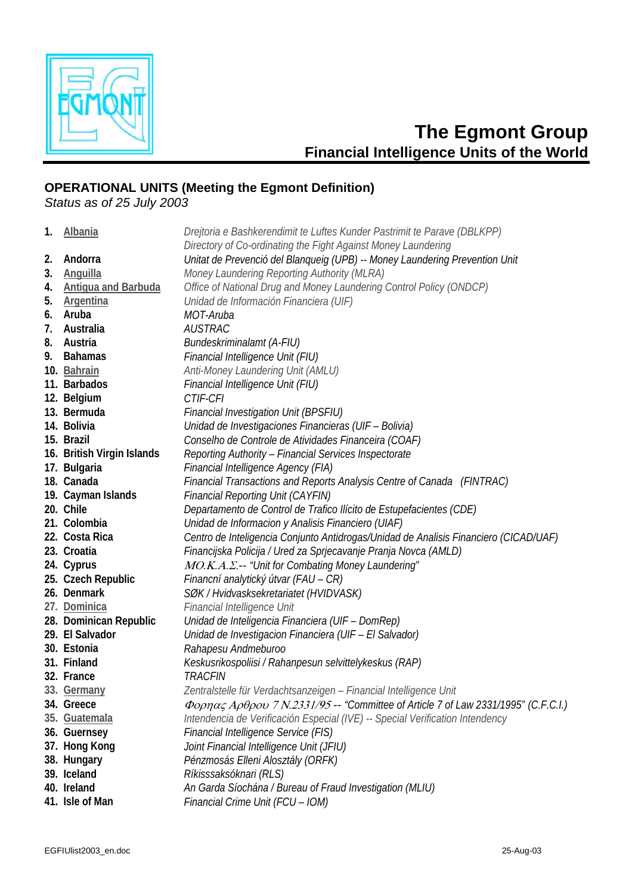

## **The Egmont Group Financial Intelligence Units of the World**

## **OPERATIONAL UNITS (Meeting the Egmont Definition)**

Status as of 25 July 2003

| Directory of Co-ordinating the Fight Against Money Laundering<br>Andorra<br>Unitat de Prevenció del Blanqueig (UPB) -- Money Laundering Prevention Unit<br>2.<br><b>Anguilla</b><br>Money Laundering Reporting Authority (MLRA)<br>3.<br><b>Antigua and Barbuda</b><br>Office of National Drug and Money Laundering Control Policy (ONDCP)<br>4.<br><b>Argentina</b><br>5.<br>Unidad de Información Financiera (UIF)<br>Aruba<br>MOT-Aruba<br>6. |  |
|--------------------------------------------------------------------------------------------------------------------------------------------------------------------------------------------------------------------------------------------------------------------------------------------------------------------------------------------------------------------------------------------------------------------------------------------------|--|
|                                                                                                                                                                                                                                                                                                                                                                                                                                                  |  |
|                                                                                                                                                                                                                                                                                                                                                                                                                                                  |  |
|                                                                                                                                                                                                                                                                                                                                                                                                                                                  |  |
|                                                                                                                                                                                                                                                                                                                                                                                                                                                  |  |
|                                                                                                                                                                                                                                                                                                                                                                                                                                                  |  |
|                                                                                                                                                                                                                                                                                                                                                                                                                                                  |  |
| Australia<br><b>AUSTRAC</b><br>7.                                                                                                                                                                                                                                                                                                                                                                                                                |  |
| <b>Bundeskriminalamt (A-FIU)</b><br>Austria<br>8.                                                                                                                                                                                                                                                                                                                                                                                                |  |
| Financial Intelligence Unit (FIU)<br><b>Bahamas</b><br>9.                                                                                                                                                                                                                                                                                                                                                                                        |  |
| Anti-Money Laundering Unit (AMLU)<br>10. Bahrain                                                                                                                                                                                                                                                                                                                                                                                                 |  |
| 11. Barbados<br>Financial Intelligence Unit (FIU)                                                                                                                                                                                                                                                                                                                                                                                                |  |
| 12. Belgium<br>CTIF-CFI                                                                                                                                                                                                                                                                                                                                                                                                                          |  |
| 13. Bermuda<br><b>Financial Investigation Unit (BPSFIU)</b>                                                                                                                                                                                                                                                                                                                                                                                      |  |
| 14. Bolivia<br>Unidad de Investigaciones Financieras (UIF - Bolivia)                                                                                                                                                                                                                                                                                                                                                                             |  |
| 15. Brazil<br>Conselho de Controle de Atividades Financeira (COAF)                                                                                                                                                                                                                                                                                                                                                                               |  |
| 16. British Virgin Islands<br>Reporting Authority - Financial Services Inspectorate                                                                                                                                                                                                                                                                                                                                                              |  |
| 17. Bulgaria<br>Financial Intelligence Agency (FIA)                                                                                                                                                                                                                                                                                                                                                                                              |  |
| 18. Canada<br>Financial Transactions and Reports Analysis Centre of Canada (FINTRAC)                                                                                                                                                                                                                                                                                                                                                             |  |
| 19. Cayman Islands<br><b>Financial Reporting Unit (CAYFIN)</b>                                                                                                                                                                                                                                                                                                                                                                                   |  |
| 20. Chile<br>Departamento de Control de Trafico Ilícito de Estupefacientes (CDE)                                                                                                                                                                                                                                                                                                                                                                 |  |
| 21. Colombia<br>Unidad de Informacion y Analisis Financiero (UIAF)                                                                                                                                                                                                                                                                                                                                                                               |  |
| 22. Costa Rica<br>Centro de Inteligencia Conjunto Antidrogas/Unidad de Analisis Financiero (CICAD/UAF)                                                                                                                                                                                                                                                                                                                                           |  |
| 23. Croatia<br>Financijska Policija / Ured za Sprjecavanje Pranja Novca (AMLD)                                                                                                                                                                                                                                                                                                                                                                   |  |
| 24. Cyprus<br>MO.K.A. .- "Unit for Combating Money Laundering"                                                                                                                                                                                                                                                                                                                                                                                   |  |
| 25. Czech Republic<br>Financní analytický útvar (FAU – CR)                                                                                                                                                                                                                                                                                                                                                                                       |  |
| 26. Denmark<br>SØK / Hvidvasksekretariatet (HVIDVASK)                                                                                                                                                                                                                                                                                                                                                                                            |  |
| Financial Intelligence Unit<br>27. Dominica                                                                                                                                                                                                                                                                                                                                                                                                      |  |
| 28. Dominican Republic<br>Unidad de Inteligencia Financiera (UIF - DomRep)                                                                                                                                                                                                                                                                                                                                                                       |  |
| 29. El Salvador<br>Unidad de Investigacion Financiera (UIF - El Salvador)                                                                                                                                                                                                                                                                                                                                                                        |  |
| 30. Estonia<br>Rahapesu Andmeburoo                                                                                                                                                                                                                                                                                                                                                                                                               |  |
| 31. Finland<br>Keskusrikospoliisi / Rahanpesun selvittelykeskus (RAP)                                                                                                                                                                                                                                                                                                                                                                            |  |
| 32. France<br><b>TRACFIN</b>                                                                                                                                                                                                                                                                                                                                                                                                                     |  |
| Zentralstelle für Verdachtsanzeigen - Financial Intelligence Unit<br>33. Germany                                                                                                                                                                                                                                                                                                                                                                 |  |
| Φορηας Αρθρου 7 Ν.2331/95 -- "Committee of Article 7 of Law 2331/1995" (C.F.C.I.)<br>34. Greece                                                                                                                                                                                                                                                                                                                                                  |  |
| Intendencia de Verificación Especial (IVE) -- Special Verification Intendency<br>35. Guatemala                                                                                                                                                                                                                                                                                                                                                   |  |
| <b>Financial Intelligence Service (FIS)</b><br>36. Guernsey                                                                                                                                                                                                                                                                                                                                                                                      |  |
| 37. Hong Kong<br>Joint Financial Intelligence Unit (JFIU)                                                                                                                                                                                                                                                                                                                                                                                        |  |
| 38. Hungary<br>Pénzmosás Elleni Alosztály (ORFK)                                                                                                                                                                                                                                                                                                                                                                                                 |  |
| 39. Iceland<br>Ríkisssaksóknari (RLS)                                                                                                                                                                                                                                                                                                                                                                                                            |  |
| 40. Ireland<br>An Garda Síochána / Bureau of Fraud Investigation (MLIU)                                                                                                                                                                                                                                                                                                                                                                          |  |
| 41. Isle of Man<br>Financial Crime Unit (FCU - IOM)                                                                                                                                                                                                                                                                                                                                                                                              |  |